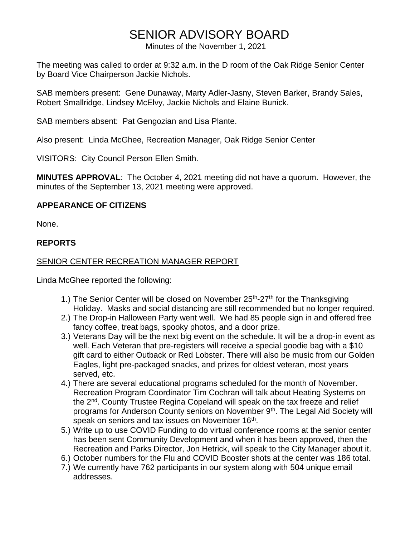# SENIOR ADVISORY BOARD

Minutes of the November 1, 2021

The meeting was called to order at 9:32 a.m. in the D room of the Oak Ridge Senior Center by Board Vice Chairperson Jackie Nichols.

SAB members present: Gene Dunaway, Marty Adler-Jasny, Steven Barker, Brandy Sales, Robert Smallridge, Lindsey McElvy, Jackie Nichols and Elaine Bunick.

SAB members absent: Pat Gengozian and Lisa Plante.

Also present: Linda McGhee, Recreation Manager, Oak Ridge Senior Center

VISITORS: City Council Person Ellen Smith.

**MINUTES APPROVAL**: The October 4, 2021 meeting did not have a quorum. However, the minutes of the September 13, 2021 meeting were approved.

# **APPEARANCE OF CITIZENS**

None.

# **REPORTS**

### SENIOR CENTER RECREATION MANAGER REPORT

Linda McGhee reported the following:

- 1.) The Senior Center will be closed on November 25<sup>th</sup>-27<sup>th</sup> for the Thanksgiving Holiday. Masks and social distancing are still recommended but no longer required.
- 2.) The Drop-in Halloween Party went well. We had 85 people sign in and offered free fancy coffee, treat bags, spooky photos, and a door prize.
- 3.) Veterans Day will be the next big event on the schedule. It will be a drop-in event as well. Each Veteran that pre-registers will receive a special goodie bag with a \$10 gift card to either Outback or Red Lobster. There will also be music from our Golden Eagles, light pre-packaged snacks, and prizes for oldest veteran, most years served, etc.
- 4.) There are several educational programs scheduled for the month of November. Recreation Program Coordinator Tim Cochran will talk about Heating Systems on the 2<sup>nd</sup>. County Trustee Regina Copeland will speak on the tax freeze and relief programs for Anderson County seniors on November 9<sup>th</sup>. The Legal Aid Society will speak on seniors and tax issues on November 16<sup>th</sup>.
- 5.) Write up to use COVID Funding to do virtual conference rooms at the senior center has been sent Community Development and when it has been approved, then the Recreation and Parks Director, Jon Hetrick, will speak to the City Manager about it.
- 6.) October numbers for the Flu and COVID Booster shots at the center was 186 total.
- 7.) We currently have 762 participants in our system along with 504 unique email addresses.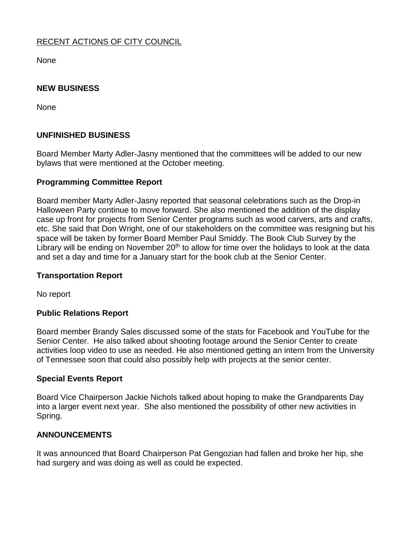# RECENT ACTIONS OF CITY COUNCIL

None

#### **NEW BUSINESS**

None

#### **UNFINISHED BUSINESS**

Board Member Marty Adler-Jasny mentioned that the committees will be added to our new bylaws that were mentioned at the October meeting.

#### **Programming Committee Report**

Board member Marty Adler-Jasny reported that seasonal celebrations such as the Drop-in Halloween Party continue to move forward. She also mentioned the addition of the display case up front for projects from Senior Center programs such as wood carvers, arts and crafts, etc. She said that Don Wright, one of our stakeholders on the committee was resigning but his space will be taken by former Board Member Paul Smiddy. The Book Club Survey by the Library will be ending on November 20<sup>th</sup> to allow for time over the holidays to look at the data and set a day and time for a January start for the book club at the Senior Center.

#### **Transportation Report**

No report

#### **Public Relations Report**

Board member Brandy Sales discussed some of the stats for Facebook and YouTube for the Senior Center. He also talked about shooting footage around the Senior Center to create activities loop video to use as needed. He also mentioned getting an intern from the University of Tennessee soon that could also possibly help with projects at the senior center.

#### **Special Events Report**

Board Vice Chairperson Jackie Nichols talked about hoping to make the Grandparents Day into a larger event next year. She also mentioned the possibility of other new activities in Spring.

#### **ANNOUNCEMENTS**

It was announced that Board Chairperson Pat Gengozian had fallen and broke her hip, she had surgery and was doing as well as could be expected.